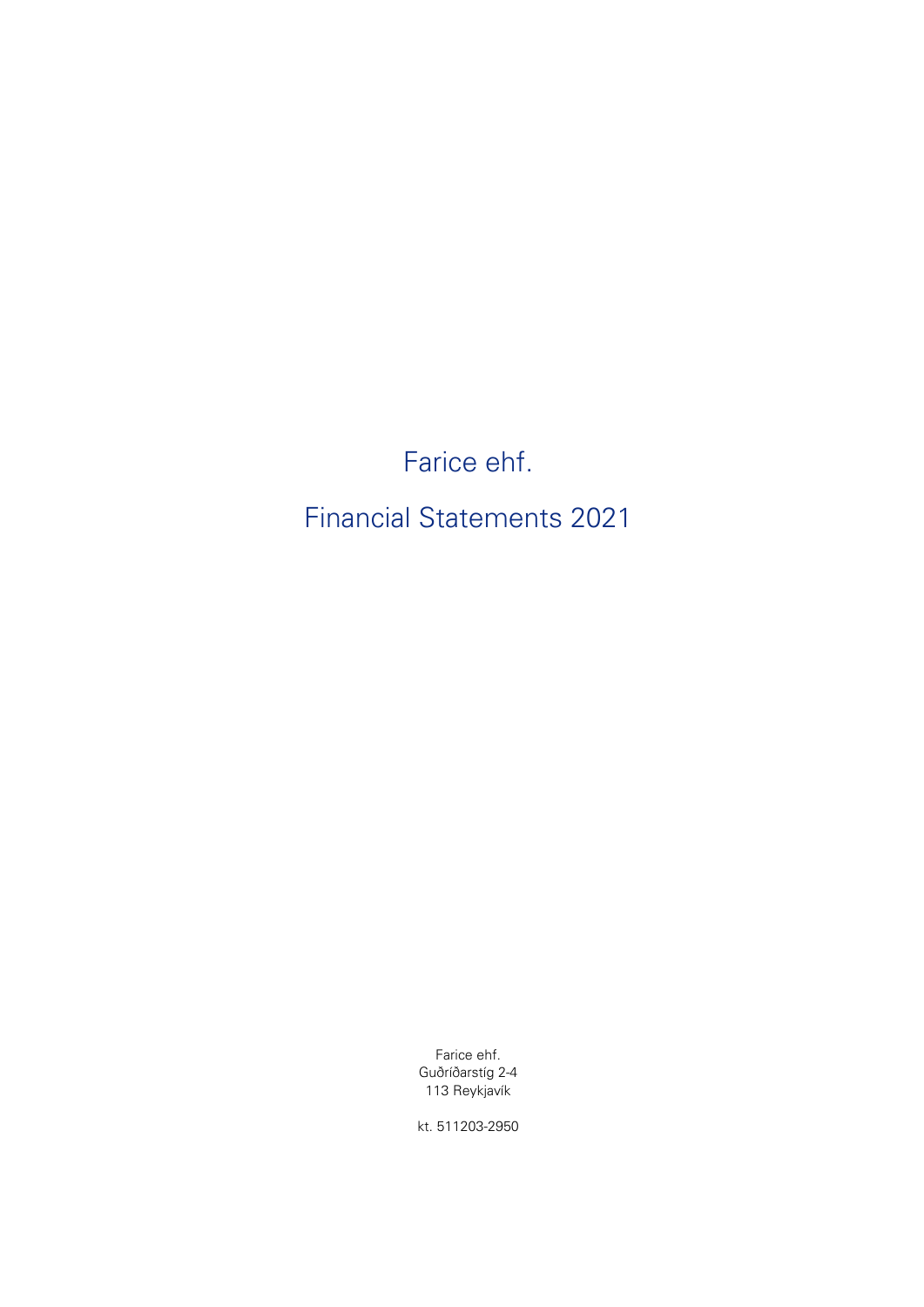Farice ehf. Financial Statements 2021

> Farice ehf. Guðríðarstíg 2-4 113 Reykjavík

kt. 511203-2950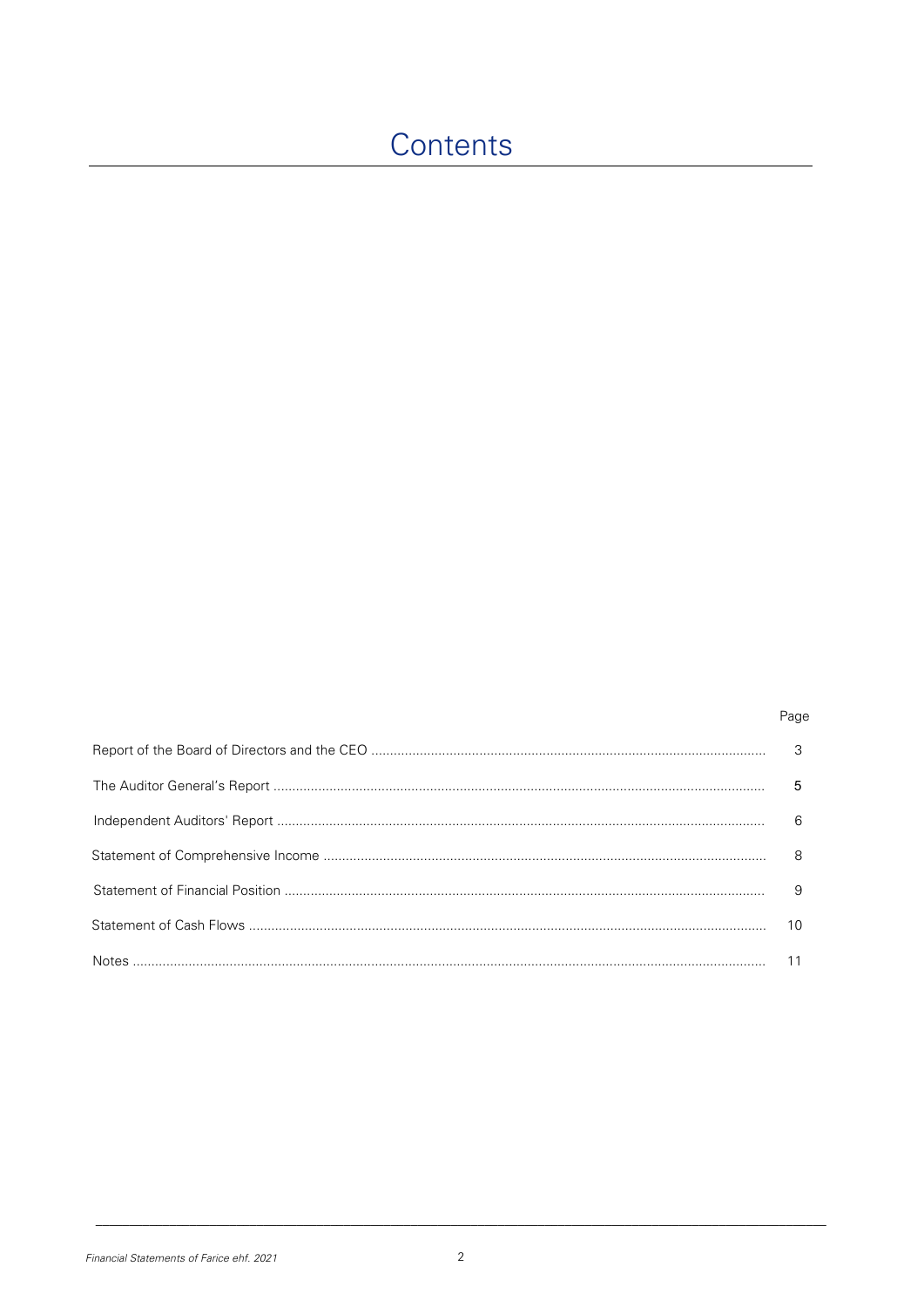# Contents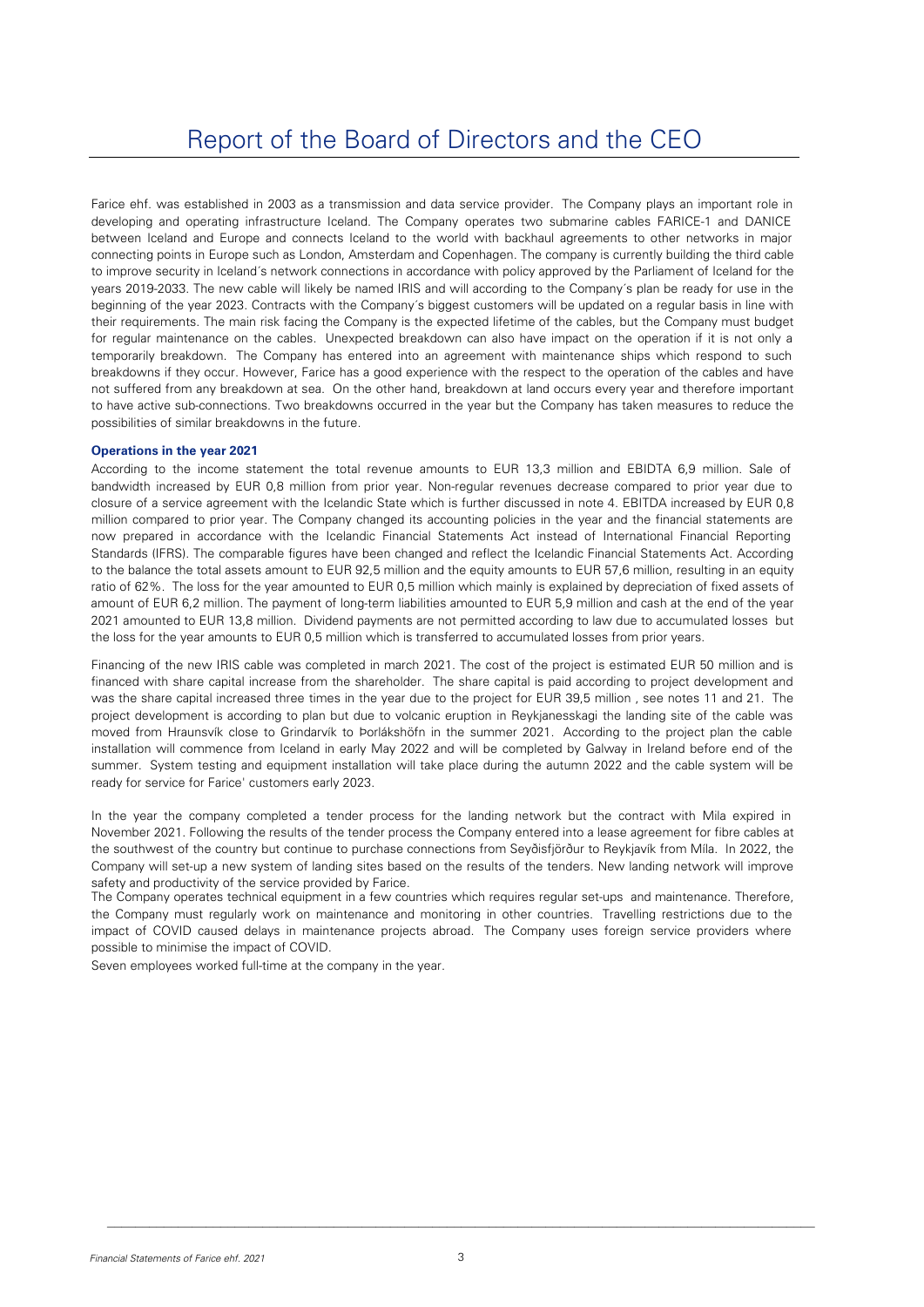Farice ehf. was established in 2003 as a transmission and data service provider. The Company plays an important role in developing and operating infrastructure Iceland. The Company operates two submarine cables FARICE-1 and DANICE between Iceland and Europe and connects Iceland to the world with backhaul agreements to other networks in major connecting points in Europe such as London, Amsterdam and Copenhagen. The company is currently building the third cable to improve security in Iceland´s network connections in accordance with policy approved by the Parliament of Iceland for the years 2019-2033. The new cable will likely be named IRIS and will according to the Company´s plan be ready for use in the beginning of the year 2023. Contracts with the Company´s biggest customers will be updated on a regular basis in line with their requirements. The main risk facing the Company is the expected lifetime of the cables, but the Company must budget for regular maintenance on the cables. Unexpected breakdown can also have impact on the operation if it is not only a temporarily breakdown. The Company has entered into an agreement with maintenance ships which respond to such breakdowns if they occur. However, Farice has a good experience with the respect to the operation of the cables and have not suffered from any breakdown at sea. On the other hand, breakdown at land occurs every year and therefore important to have active sub-connections. Two breakdowns occurred in the year but the Company has taken measures to reduce the possibilities of similar breakdowns in the future.

# **Operations in the year 2021**

According to the income statement the total revenue amounts to EUR 13,3 million and EBIDTA 6,9 million. Sale of bandwidth increased by EUR 0,8 million from prior year. Non-regular revenues decrease compared to prior year due to closure of a service agreement with the Icelandic State which is further discussed in note 4. EBITDA increased by EUR 0,8 million compared to prior year. The Company changed its accounting policies in the year and the financial statements are now prepared in accordance with the Icelandic Financial Statements Act instead of International Financial Reporting Standards (IFRS). The comparable figures have been changed and reflect the Icelandic Financial Statements Act. According to the balance the total assets amount to EUR 92,5 million and the equity amounts to EUR 57,6 million, resulting in an equity ratio of 62%. The loss for the year amounted to EUR 0,5 million which mainly is explained by depreciation of fixed assets of amount of EUR 6,2 million. The payment of long-term liabilities amounted to EUR 5,9 million and cash at the end of the year 2021 amounted to EUR 13,8 million. Dividend payments are not permitted according to law due to accumulated losses but the loss for the year amounts to EUR 0,5 million which is transferred to accumulated losses from prior years.

Financing of the new IRIS cable was completed in march 2021. The cost of the project is estimated EUR 50 million and is financed with share capital increase from the shareholder. The share capital is paid according to project development and was the share capital increased three times in the year due to the project for EUR 39,5 million , see notes 11 and 21. The project development is according to plan but due to volcanic eruption in Reykjanesskagi the landing site of the cable was moved from Hraunsvík close to Grindarvík to Þorlákshöfn in the summer 2021. According to the project plan the cable installation will commence from Iceland in early May 2022 and will be completed by Galway in Ireland before end of the summer. System testing and equipment installation will take place during the autumn 2022 and the cable system will be ready for service for Farice' customers early 2023.

In the year the company completed a tender process for the landing network but the contract with Mila expired in November 2021. Following the results of the tender process the Company entered into a lease agreement for fibre cables at the southwest of the country but continue to purchase connections from Seyðisfjörður to Reykjavík from Míla. In 2022, the Company will set-up a new system of landing sites based on the results of the tenders. New landing network will improve safety and productivity of the service provided by Farice.

The Company operates technical equipment in a few countries which requires regular set-ups and maintenance. Therefore, the Company must regularly work on maintenance and monitoring in other countries. Travelling restrictions due to the impact of COVID caused delays in maintenance projects abroad. The Company uses foreign service providers where possible to minimise the impact of COVID.

Seven employees worked full-time at the company in the year.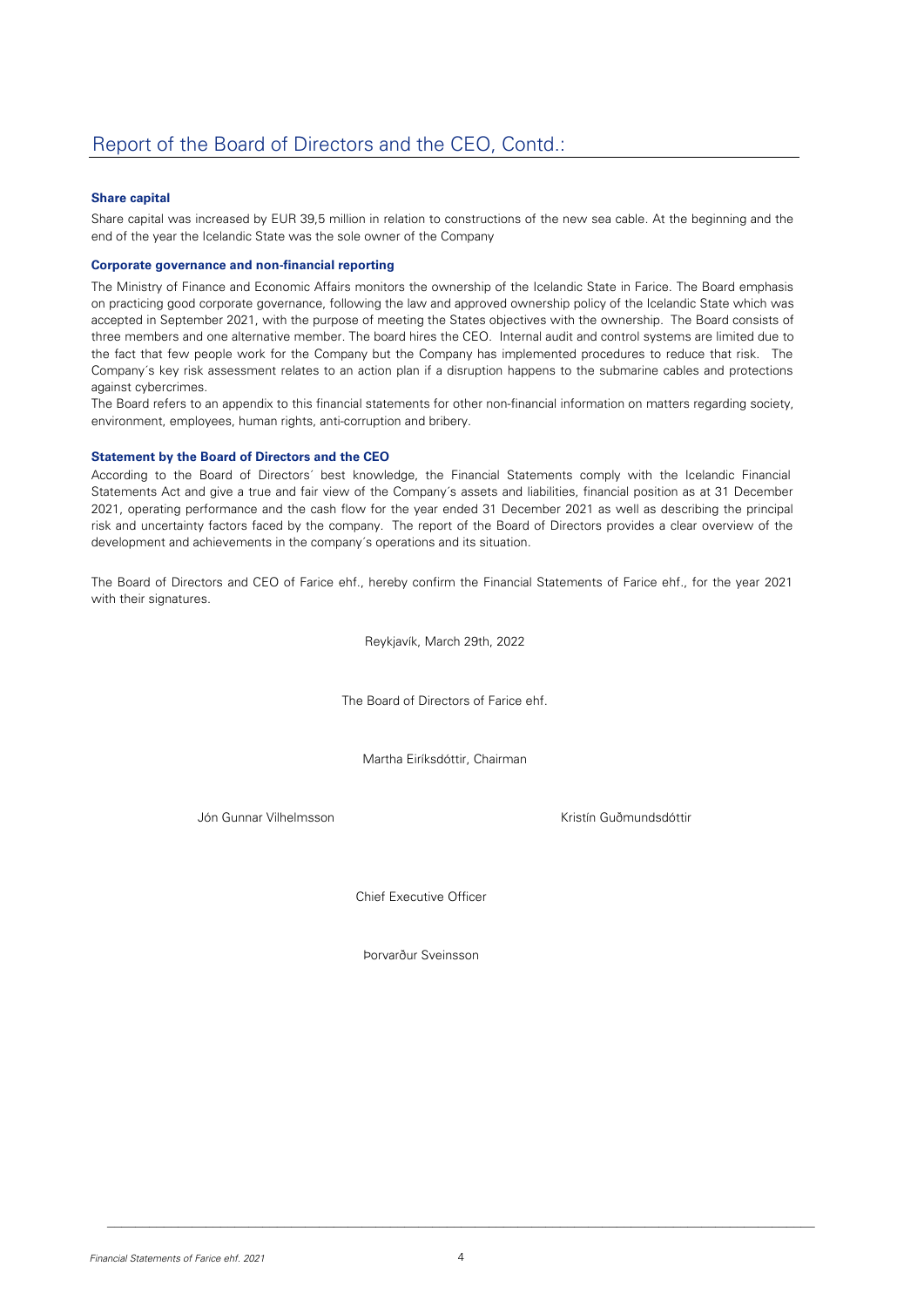# **Share capital**

Share capital was increased by EUR 39,5 million in relation to constructions of the new sea cable. At the beginning and the end of the year the Icelandic State was the sole owner of the Company

# **Corporate governance and non-financial reporting**

The Ministry of Finance and Economic Affairs monitors the ownership of the Icelandic State in Farice. The Board emphasis on practicing good corporate governance, following the law and approved ownership policy of the Icelandic State which was accepted in September 2021, with the purpose of meeting the States objectives with the ownership. The Board consists of three members and one alternative member. The board hires the CEO. Internal audit and control systems are limited due to the fact that few people work for the Company but the Company has implemented procedures to reduce that risk. The Company´s key risk assessment relates to an action plan if a disruption happens to the submarine cables and protections against cybercrimes.

The Board refers to an appendix to this financial statements for other non-financial information on matters regarding society, environment, employees, human rights, anti-corruption and bribery.

# **Statement by the Board of Directors and the CEO**

According to the Board of Directors´ best knowledge, the Financial Statements comply with the Icelandic Financial Statements Act and give a true and fair view of the Company´s assets and liabilities, financial position as at 31 December 2021, operating performance and the cash flow for the year ended 31 December 2021 as well as describing the principal risk and uncertainty factors faced by the company. The report of the Board of Directors provides a clear overview of the development and achievements in the company´s operations and its situation.

The Board of Directors and CEO of Farice ehf., hereby confirm the Financial Statements of Farice ehf., for the year 2021 with their signatures.

Reykjavík, March 29th, 2022

The Board of Directors of Farice ehf.

Martha Eiríksdóttir, Chairman

Jón Gunnar Vilhelmsson Kristín Guðmundsdóttir

Chief Executive Officer

Þorvarður Sveinsson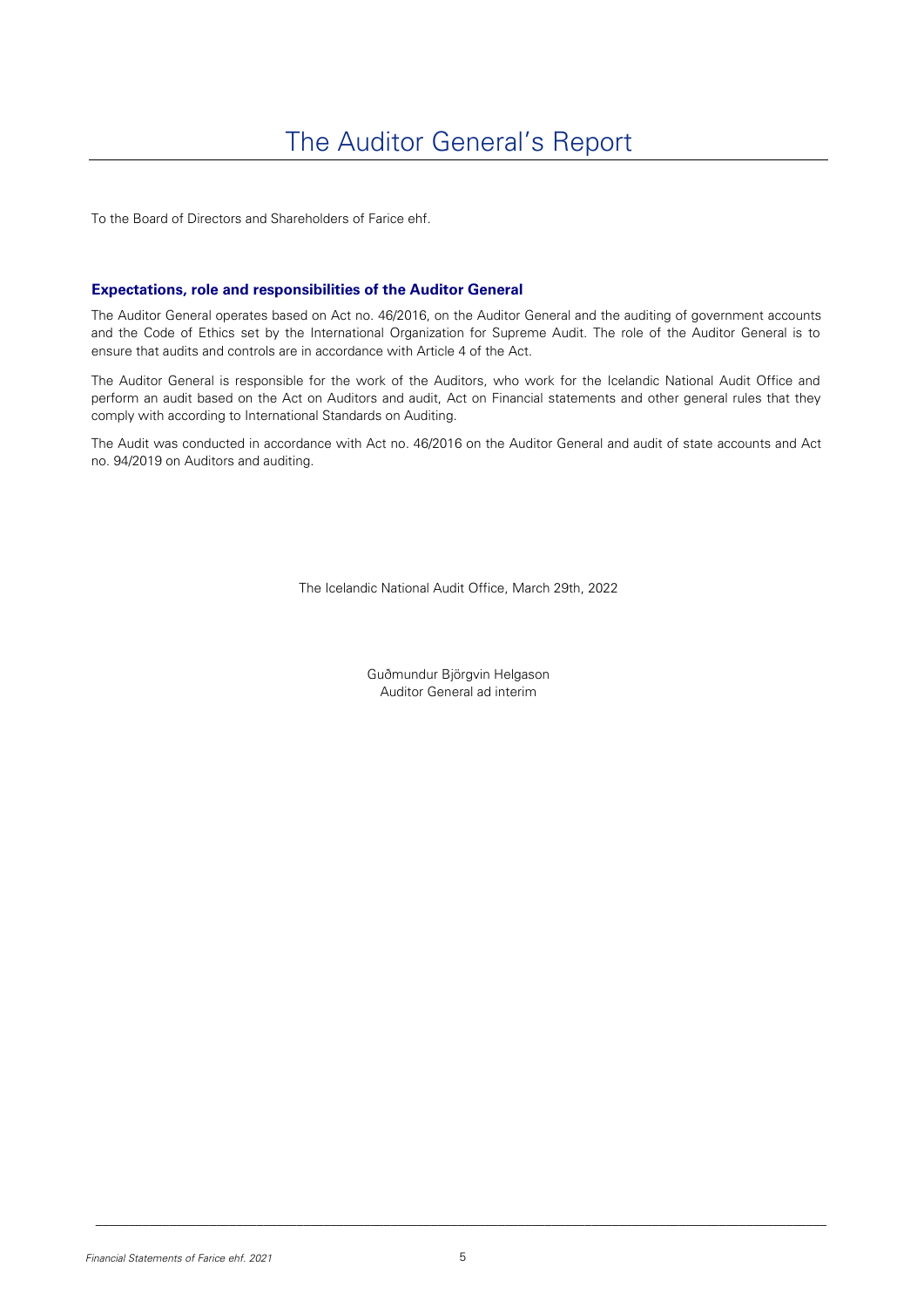To the Board of Directors and Shareholders of Farice ehf.

# **Expectations, role and responsibilities of the Auditor General**

The Auditor General operates based on Act no. 46/2016, on the Auditor General and the auditing of government accounts and the Code of Ethics set by the International Organization for Supreme Audit. The role of the Auditor General is to ensure that audits and controls are in accordance with Article 4 of the Act.

The Auditor General is responsible for the work of the Auditors, who work for the Icelandic National Audit Office and perform an audit based on the Act on Auditors and audit, Act on Financial statements and other general rules that they comply with according to International Standards on Auditing.

The Audit was conducted in accordance with Act no. 46/2016 on the Auditor General and audit of state accounts and Act no. 94/2019 on Auditors and auditing.

The Icelandic National Audit Office, March 29th, 2022

Guðmundur Björgvin Helgason Auditor General ad interim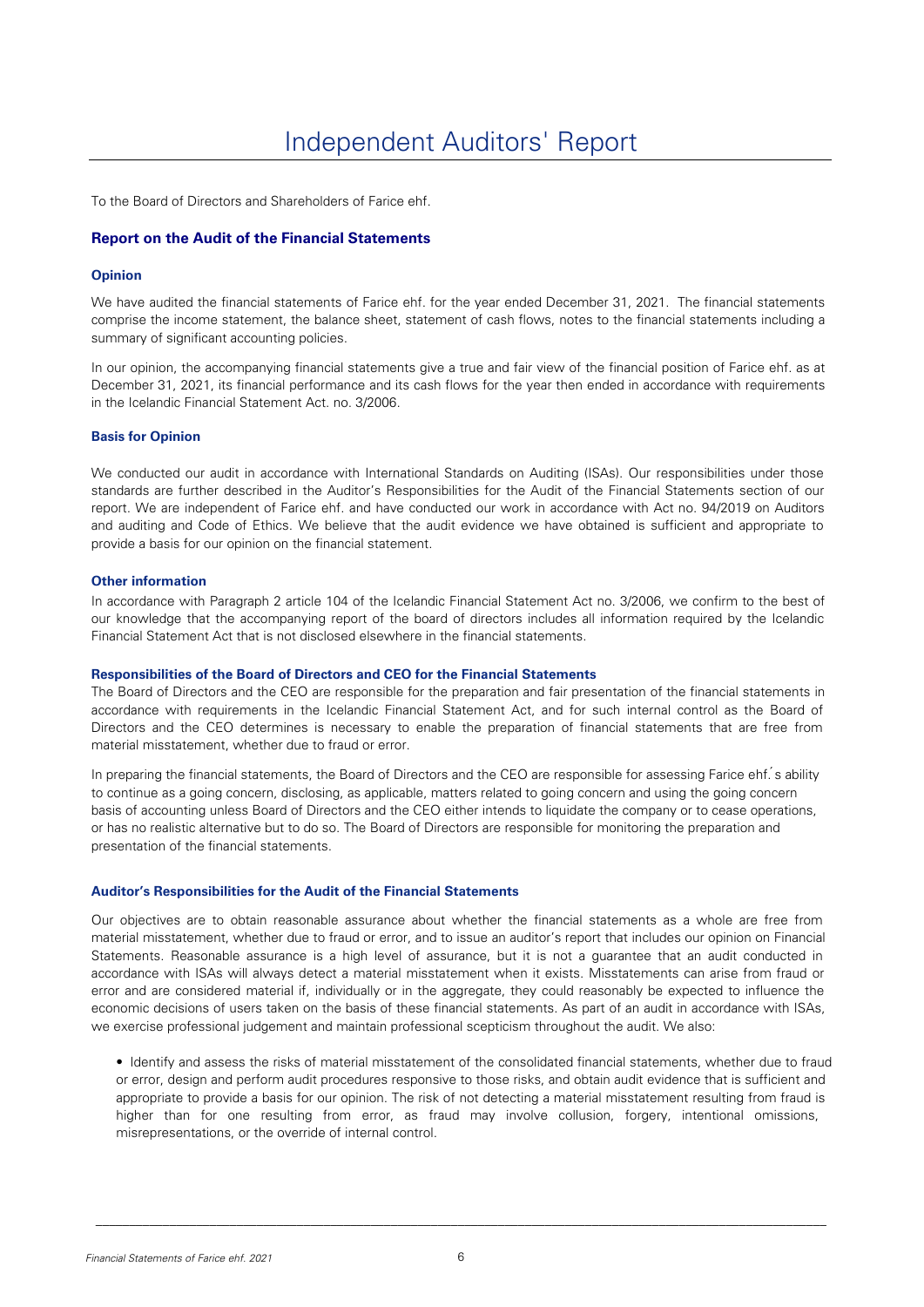To the Board of Directors and Shareholders of Farice ehf.

# **Report on the Audit of the Financial Statements**

# **Opinion**

We have audited the financial statements of Farice ehf. for the year ended December 31, 2021. The financial statements comprise the income statement, the balance sheet, statement of cash flows, notes to the financial statements including a summary of significant accounting policies.

In our opinion, the accompanying financial statements give a true and fair view of the financial position of Farice ehf. as at December 31, 2021, its financial performance and its cash flows for the year then ended in accordance with requirements in the Icelandic Financial Statement Act. no. 3/2006.

### **Basis for Opinion**

We conducted our audit in accordance with International Standards on Auditing (ISAs). Our responsibilities under those standards are further described in the Auditor's Responsibilities for the Audit of the Financial Statements section of our report. We are independent of Farice ehf. and have conducted our work in accordance with Act no. 94/2019 on Auditors and auditing and Code of Ethics. We believe that the audit evidence we have obtained is sufficient and appropriate to provide a basis for our opinion on the financial statement.

### **Other information**

In accordance with Paragraph 2 article 104 of the Icelandic Financial Statement Act no. 3/2006, we confirm to the best of our knowledge that the accompanying report of the board of directors includes all information required by the Icelandic Financial Statement Act that is not disclosed elsewhere in the financial statements.

# **Responsibilities of the Board of Directors and CEO for the Financial Statements**

The Board of Directors and the CEO are responsible for the preparation and fair presentation of the financial statements in accordance with requirements in the Icelandic Financial Statement Act, and for such internal control as the Board of Directors and the CEO determines is necessary to enable the preparation of financial statements that are free from material misstatement, whether due to fraud or error.

In preparing the financial statements, the Board of Directors and the CEO are responsible for assessing Farice ehf. ́s ability to continue as a going concern, disclosing, as applicable, matters related to going concern and using the going concern basis of accounting unless Board of Directors and the CEO either intends to liquidate the company or to cease operations, or has no realistic alternative but to do so. The Board of Directors are responsible for monitoring the preparation and presentation of the financial statements.

# **Auditor's Responsibilities for the Audit of the Financial Statements**

Our objectives are to obtain reasonable assurance about whether the financial statements as a whole are free from material misstatement, whether due to fraud or error, and to issue an auditor's report that includes our opinion on Financial Statements. Reasonable assurance is a high level of assurance, but it is not a guarantee that an audit conducted in accordance with ISAs will always detect a material misstatement when it exists. Misstatements can arise from fraud or error and are considered material if, individually or in the aggregate, they could reasonably be expected to influence the economic decisions of users taken on the basis of these financial statements. As part of an audit in accordance with ISAs, we exercise professional judgement and maintain professional scepticism throughout the audit. We also:

• Identify and assess the risks of material misstatement of the consolidated financial statements, whether due to fraud or error, design and perform audit procedures responsive to those risks, and obtain audit evidence that is sufficient and appropriate to provide a basis for our opinion. The risk of not detecting a material misstatement resulting from fraud is higher than for one resulting from error, as fraud may involve collusion, forgery, intentional omissions, misrepresentations, or the override of internal control.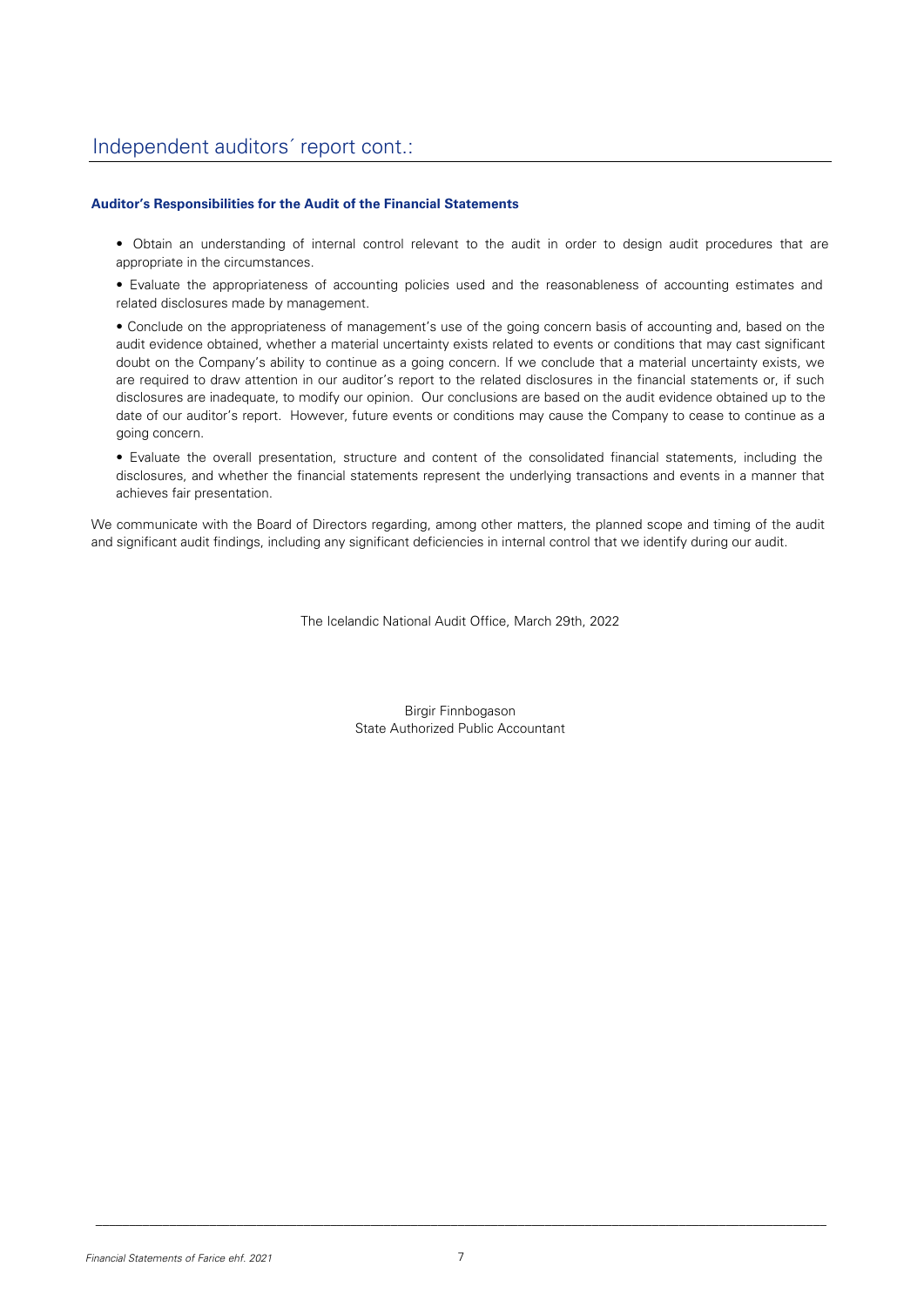# Independent auditors' report cont.:

# **Auditor's Responsibilities for the Audit of the Financial Statements**

• Obtain an understanding of internal control relevant to the audit in order to design audit procedures that are appropriate in the circumstances.

• Evaluate the appropriateness of accounting policies used and the reasonableness of accounting estimates and related disclosures made by management.

• Conclude on the appropriateness of management's use of the going concern basis of accounting and, based on the audit evidence obtained, whether a material uncertainty exists related to events or conditions that may cast significant doubt on the Company's ability to continue as a going concern. If we conclude that a material uncertainty exists, we are required to draw attention in our auditor's report to the related disclosures in the financial statements or, if such disclosures are inadequate, to modify our opinion. Our conclusions are based on the audit evidence obtained up to the date of our auditor's report. However, future events or conditions may cause the Company to cease to continue as a going concern.

• Evaluate the overall presentation, structure and content of the consolidated financial statements, including the disclosures, and whether the financial statements represent the underlying transactions and events in a manner that achieves fair presentation.

We communicate with the Board of Directors regarding, among other matters, the planned scope and timing of the audit and significant audit findings, including any significant deficiencies in internal control that we identify during our audit.

The Icelandic National Audit Office, March 29th, 2022

Birgir Finnbogason State Authorized Public Accountant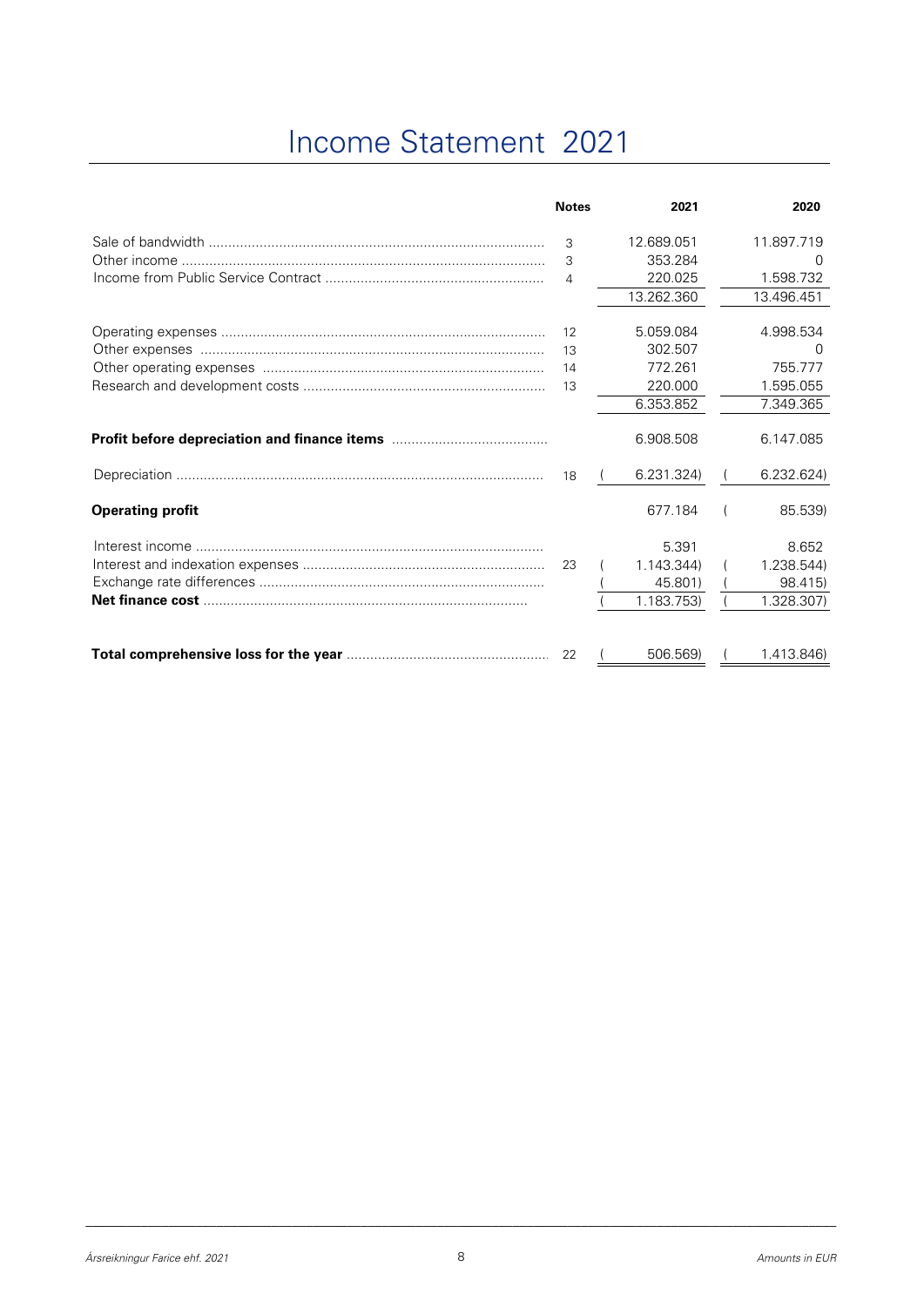# Income Statement 2021

|                         | <b>Notes</b>   | 2021       | 2020       |
|-------------------------|----------------|------------|------------|
|                         | 3              | 12.689.051 | 11.897.719 |
|                         | 3              | 353.284    | O          |
|                         | $\overline{4}$ | 220.025    | 1.598.732  |
|                         |                | 13.262.360 | 13.496.451 |
|                         | 12             | 5.059.084  | 4.998.534  |
|                         | 13             | 302.507    | O          |
|                         | 14             | 772.261    | 755.777    |
|                         | 13             | 220,000    | 1.595.055  |
|                         |                | 6.353.852  | 7.349.365  |
|                         |                | 6.908.508  | 6.147.085  |
|                         | 18             | 6.231.324) | 6.232.624) |
| <b>Operating profit</b> |                | 677.184    | 85.539)    |
|                         |                | 5.391      | 8.652      |
|                         | 23             | 1.143.344) | 1.238.544) |
|                         |                | 45.801)    | 98.415)    |
|                         |                | 1.183.753) | 1.328.307) |
|                         |                |            |            |
|                         | 22             | 506.569)   | 1.413.846) |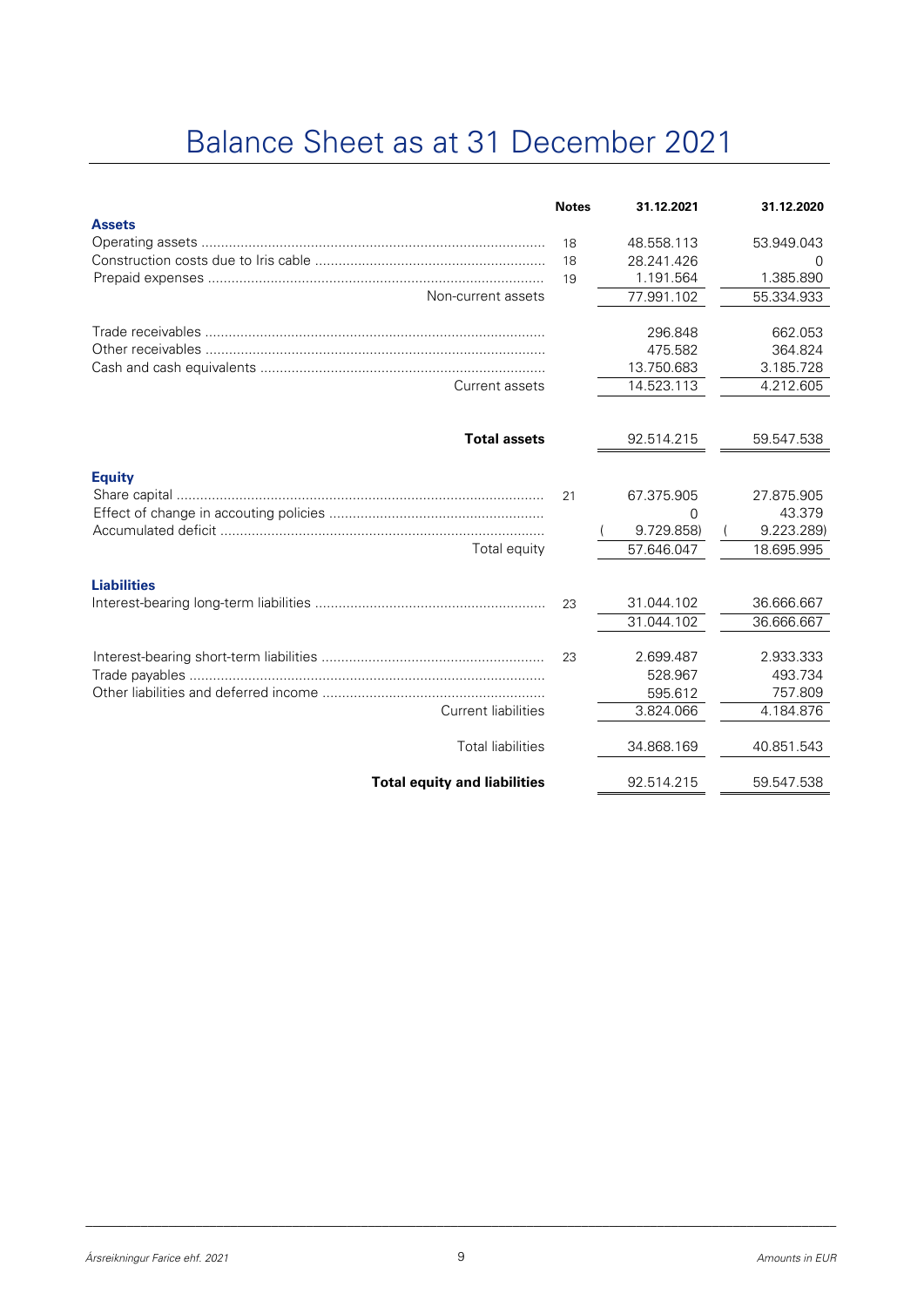# Balance Sheet as at 31 December 2021

|                                     | <b>Notes</b> | 31.12.2021 | 31.12.2020 |
|-------------------------------------|--------------|------------|------------|
| <b>Assets</b>                       |              |            |            |
|                                     | 18           | 48.558.113 | 53.949.043 |
|                                     | 18           | 28.241.426 | 0          |
|                                     | 19           | 1.191.564  | 1.385.890  |
| Non-current assets                  |              | 77.991.102 | 55.334.933 |
|                                     |              | 296.848    | 662.053    |
|                                     |              | 475.582    | 364.824    |
|                                     |              | 13.750.683 | 3.185.728  |
| Current assets                      |              | 14.523.113 | 4.212.605  |
|                                     |              |            |            |
| <b>Total assets</b>                 |              | 92.514.215 | 59.547.538 |
| <b>Equity</b>                       |              |            |            |
|                                     | 21           | 67.375.905 | 27.875.905 |
|                                     |              | 0          | 43.379     |
|                                     |              | 9.729.858) | 9.223.289) |
| Total equity                        |              | 57.646.047 | 18.695.995 |
| <b>Liabilities</b>                  |              |            |            |
|                                     | 23           | 31.044.102 | 36.666.667 |
|                                     |              | 31.044.102 | 36.666.667 |
|                                     | 23           | 2.699.487  | 2.933.333  |
|                                     |              | 528.967    | 493.734    |
|                                     |              | 595.612    | 757.809    |
| Current liabilities                 |              | 3.824.066  | 4.184.876  |
| <b>Total liabilities</b>            |              | 34.868.169 | 40.851.543 |
| <b>Total equity and liabilities</b> |              | 92.514.215 | 59.547.538 |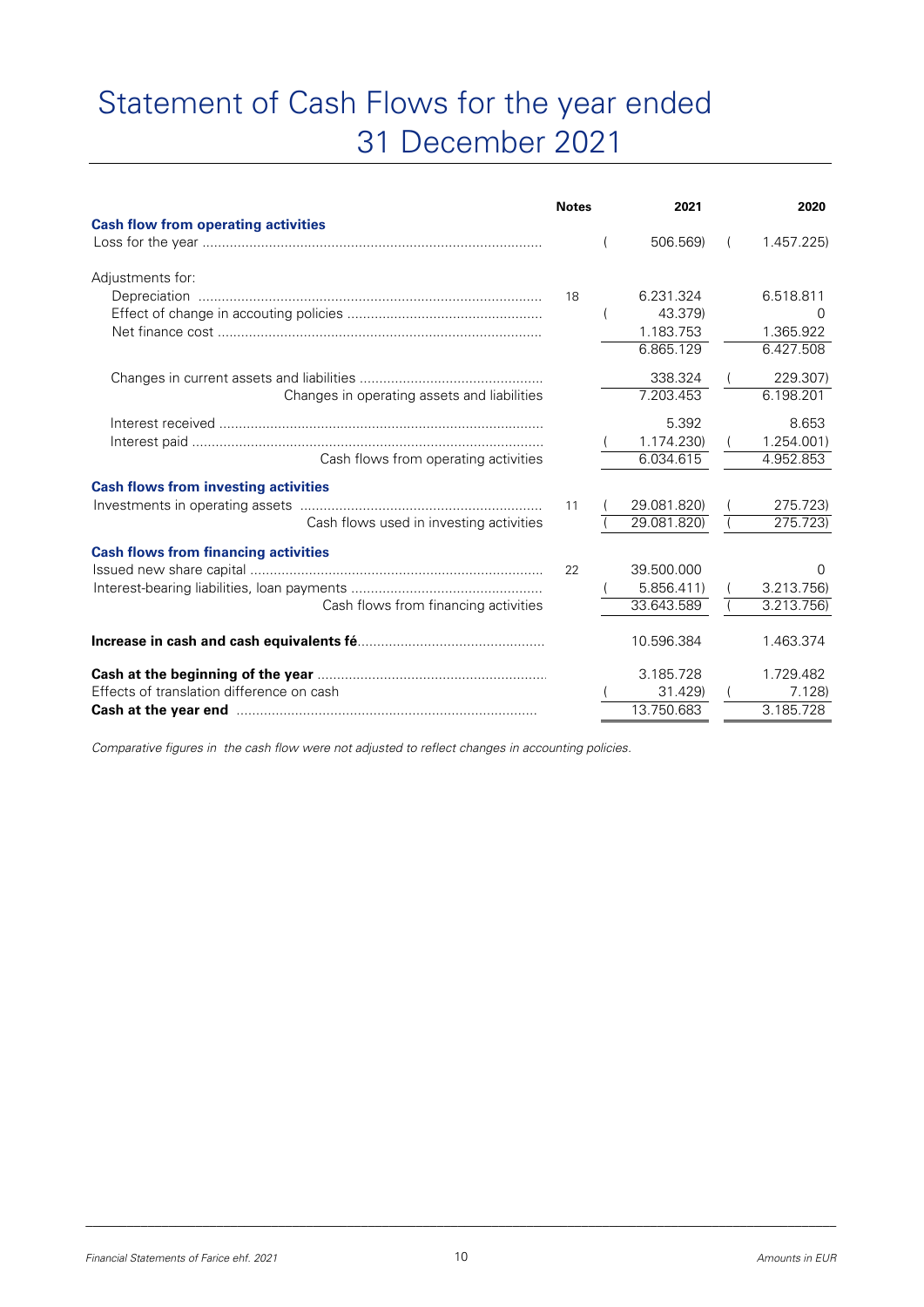# Statement of Cash Flows for the year ended 31 December 2021

|                                             | <b>Notes</b> | 2021        |          | 2020         |
|---------------------------------------------|--------------|-------------|----------|--------------|
| <b>Cash flow from operating activities</b>  |              |             |          |              |
|                                             |              | 506.569)    | $\left($ | 1.457.225)   |
| Adjustments for:                            |              |             |          |              |
|                                             | 18           | 6.231.324   |          | 6.518.811    |
|                                             |              | 43.379)     |          | 0            |
|                                             |              | 1.183.753   |          | 1.365.922    |
|                                             |              | 6.865.129   |          | 6.427.508    |
|                                             |              | 338.324     |          | 229.307)     |
| Changes in operating assets and liabilities |              | 7.203.453   |          | 6.198.201    |
|                                             |              | 5.392       |          | 8.653        |
|                                             |              | 1.174.230)  |          | 1.254.001)   |
| Cash flows from operating activities        |              | 6.034.615   |          | 4.952.853    |
| <b>Cash flows from investing activities</b> |              |             |          |              |
|                                             | 11           | 29.081.820) |          | 275.723)     |
| Cash flows used in investing activities     |              | 29.081.820) |          | 275.723)     |
| <b>Cash flows from financing activities</b> |              |             |          |              |
|                                             | 22           | 39.500.000  |          | <sup>0</sup> |
|                                             |              | 5.856.411   |          | 3.213.756)   |
| Cash flows from financing activities        |              | 33.643.589  |          | 3.213.756)   |
|                                             |              | 10.596.384  |          | 1.463.374    |
|                                             |              | 3.185.728   |          | 1.729.482    |
| Effects of translation difference on cash   |              | 31.429)     |          | 7.128        |
|                                             |              | 13.750.683  |          | 3.185.728    |

Comparative figures in the cash flow were not adjusted to reflect changes in accounting policies.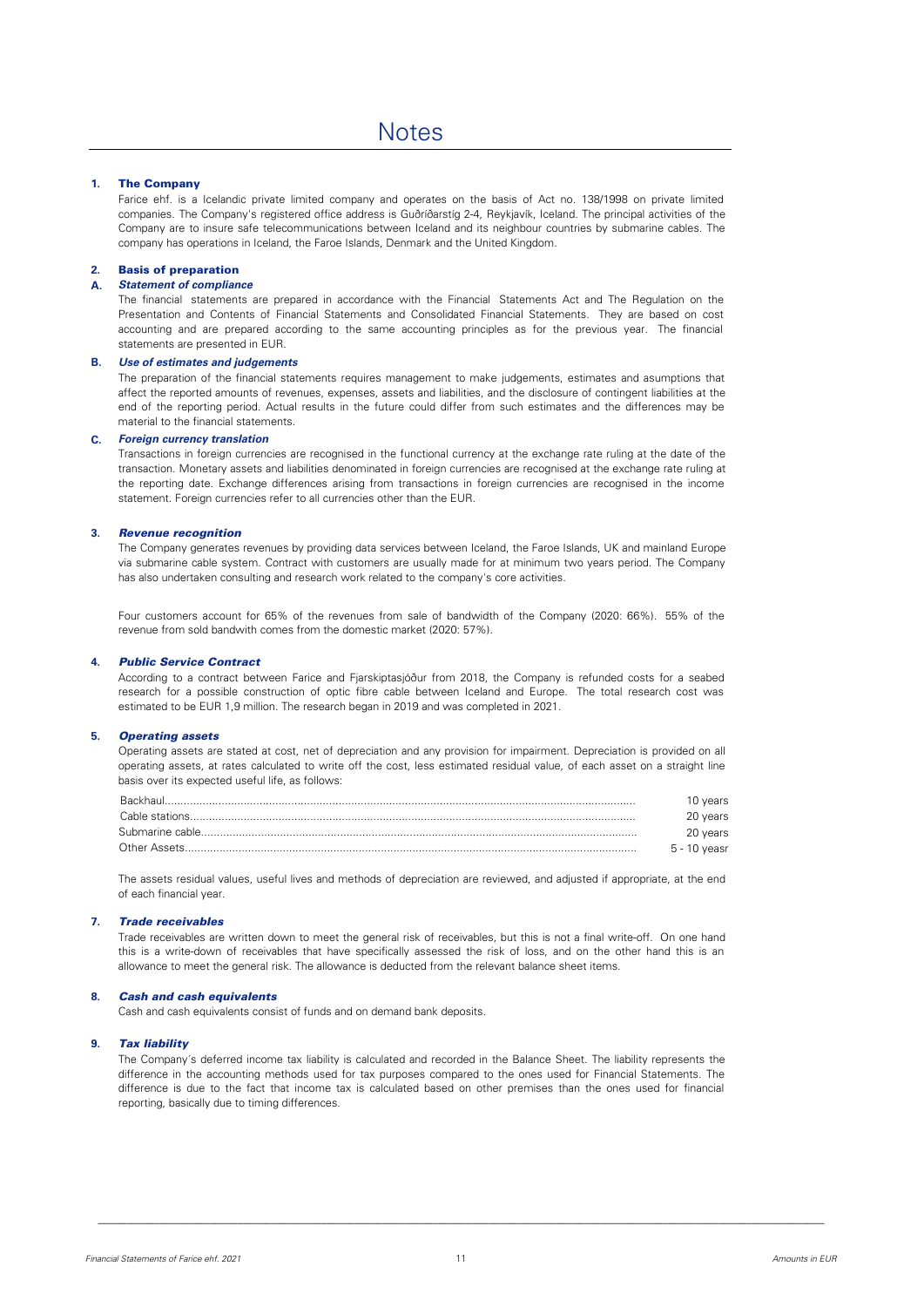#### **1.** The Company

Farice ehf. is a Icelandic private limited company and operates on the basis of Act no. 138/1998 on private limited companies. The Company's registered office address is Guðríðarstíg 2-4, Reykjavík, Iceland. The principal activities of the Company are to insure safe telecommunications between Iceland and its neighbour countries by submarine cables. The company has operations in Iceland, the Faroe Islands, Denmark and the United Kingdom.

#### **2.** Basis of preparation

#### **A. Statement of compliance**

The financial statements are prepared in accordance with the Financial Statements Act and The Regulation on the Presentation and Contents of Financial Statements and Consolidated Financial Statements. They are based on cost accounting and are prepared according to the same accounting principles as for the previous year. The financial statements are presented in EUR.

#### **B. Use of estimates and judgements**

The preparation of the financial statements requires management to make judgements, estimates and asumptions that affect the reported amounts of revenues, expenses, assets and liabilities, and the disclosure of contingent liabilities at the end of the reporting period. Actual results in the future could differ from such estimates and the differences may be material to the financial statements.

#### **C. Foreign currency translation**

Transactions in foreign currencies are recognised in the functional currency at the exchange rate ruling at the date of the transaction. Monetary assets and liabilities denominated in foreign currencies are recognised at the exchange rate ruling at the reporting date. Exchange differences arising from transactions in foreign currencies are recognised in the income statement. Foreign currencies refer to all currencies other than the EUR.

#### **3.** Revenue recognition

The Company generates revenues by providing data services between Iceland, the Faroe Islands, UK and mainland Europe via submarine cable system. Contract with customers are usually made for at minimum two years period. The Company has also undertaken consulting and research work related to the company's core activities.

Four customers account for 65% of the revenues from sale of bandwidth of the Company (2020: 66%). 55% of the revenue from sold bandwith comes from the domestic market (2020: 57%).

#### **4.** Public Service Contract

According to a contract between Farice and Fjarskiptasjóður from 2018, the Company is refunded costs for a seabed research for a possible construction of optic fibre cable between Iceland and Europe. The total research cost was estimated to be EUR 1,9 million. The research began in 2019 and was completed in 2021.

#### **5.** Operating assets

Operating assets are stated at cost, net of depreciation and any provision for impairment. Depreciation is provided on all operating assets, at rates calculated to write off the cost, less estimated residual value, of each asset on a straight line basis over its expected useful life, as follows:

| <b>Backhaul</b> | 0 years      |
|-----------------|--------------|
|                 | 20 vears     |
|                 | 20 vears     |
|                 | 5 - 10 veasr |

The assets residual values, useful lives and methods of depreciation are reviewed, and adjusted if appropriate, at the end of each financial year.

#### **7.** Trade receivables

Trade receivables are written down to meet the general risk of receivables, but this is not a final write-off. On one hand this is a write-down of receivables that have specifically assessed the risk of loss, and on the other hand this is an allowance to meet the general risk. The allowance is deducted from the relevant balance sheet items.

#### **8.** Cash and cash equivalents

Cash and cash equivalents consist of funds and on demand bank deposits.

#### **9.** Tax liability

The Company´s deferred income tax liability is calculated and recorded in the Balance Sheet. The liability represents the difference in the accounting methods used for tax purposes compared to the ones used for Financial Statements. The difference is due to the fact that income tax is calculated based on other premises than the ones used for financial reporting, basically due to timing differences.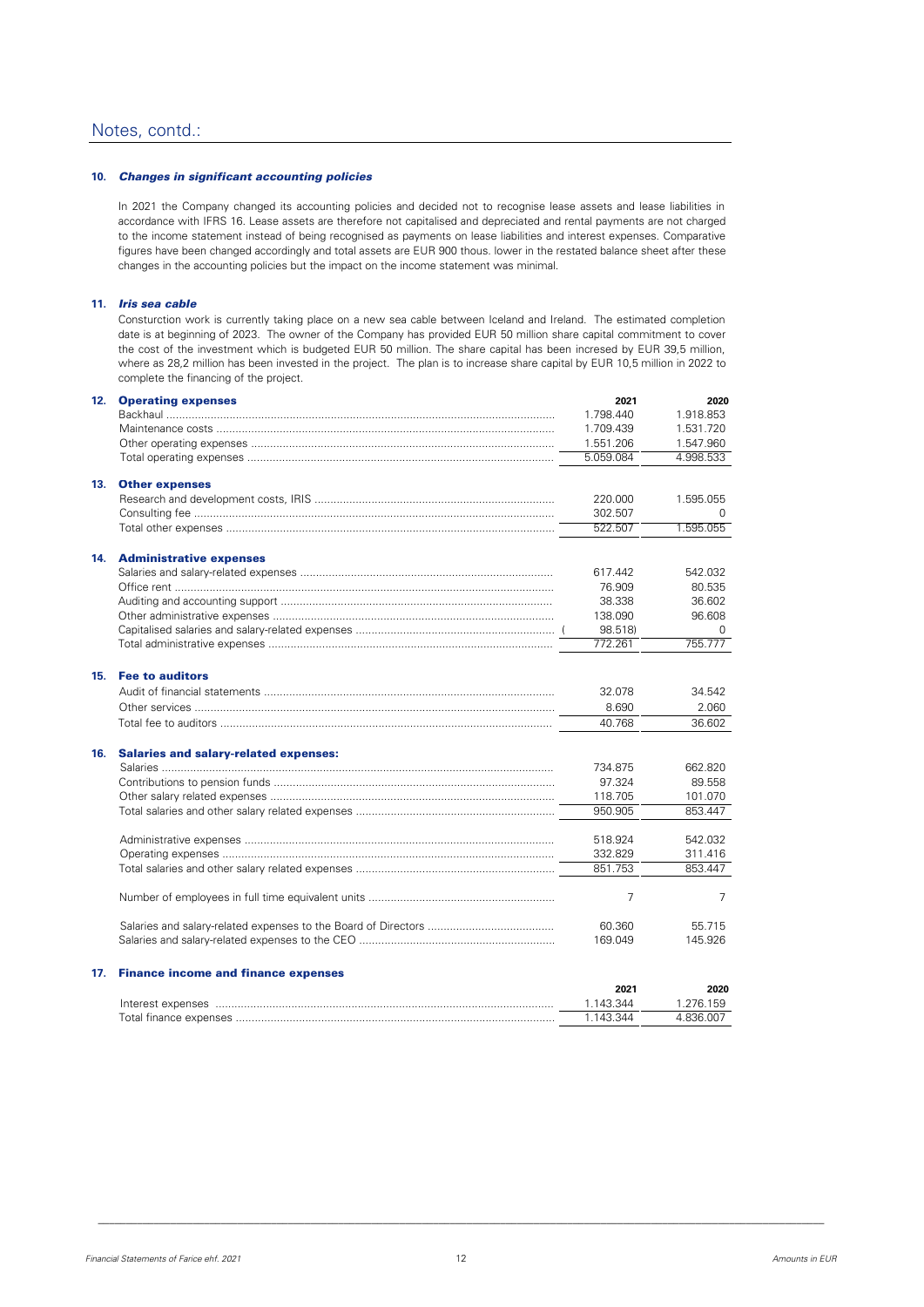# **10.** Changes in significant accounting policies

In 2021 the Company changed its accounting policies and decided not to recognise lease assets and lease liabilities in accordance with IFRS 16. Lease assets are therefore not capitalised and depreciated and rental payments are not charged to the income statement instead of being recognised as payments on lease liabilities and interest expenses. Comparative figures have been changed accordingly and total assets are EUR 900 thous. lower in the restated balance sheet after these changes in the accounting policies but the impact on the income statement was minimal.

#### **11.** Iris sea cable

Consturction work is currently taking place on a new sea cable between Iceland and Ireland. The estimated completion date is at beginning of 2023. The owner of the Company has provided EUR 50 million share capital commitment to cover the cost of the investment which is budgeted EUR 50 million. The share capital has been incresed by EUR 39,5 million, where as 28,2 million has been invested in the project. The plan is to increase share capital by EUR 10,5 million in 2022 to complete the financing of the project.

| 12. | <b>Operating expenses</b>                    | 2021      | 2020      |
|-----|----------------------------------------------|-----------|-----------|
|     |                                              | 1.798.440 | 1.918.853 |
|     |                                              | 1.709.439 | 1.531.720 |
|     |                                              | 1.551.206 | 1.547.960 |
|     |                                              | 5.059.084 | 4.998.533 |
| 13. | <b>Other expenses</b>                        |           |           |
|     |                                              | 220.000   | 1.595.055 |
|     |                                              | 302.507   | $\Omega$  |
|     |                                              | 522.507   | 1.595.055 |
|     | <b>14. Administrative expenses</b>           |           |           |
|     |                                              | 617.442   | 542.032   |
|     |                                              | 76.909    | 80.535    |
|     |                                              | 38.338    | 36.602    |
|     |                                              | 138.090   | 96.608    |
|     |                                              | 98.518)   | $\Omega$  |
|     |                                              | 772.261   | 755.777   |
| 15. | <b>Fee to auditors</b>                       |           |           |
|     |                                              | 32.078    | 34.542    |
|     |                                              | 8.690     | 2.060     |
|     |                                              | 40.768    | 36.602    |
|     |                                              |           |           |
| 16. | <b>Salaries and salary-related expenses:</b> |           |           |
|     |                                              | 734.875   | 662.820   |
|     |                                              | 97.324    | 89.558    |
|     |                                              | 118.705   | 101.070   |
|     |                                              | 950.905   | 853.447   |
|     |                                              | 518.924   | 542.032   |
|     |                                              | 332.829   | 311.416   |
|     |                                              | 851.753   | 853.447   |
|     |                                              | 7         | 7         |
|     |                                              | 60.360    | 55.715    |
|     |                                              | 169.049   | 145.926   |
| 17. | <b>Finance income and finance expenses</b>   |           |           |
|     |                                              | 2021      | 2020      |
|     |                                              | 1.143.344 | 1.276.159 |
|     |                                              | 1.143.344 | 4.836.007 |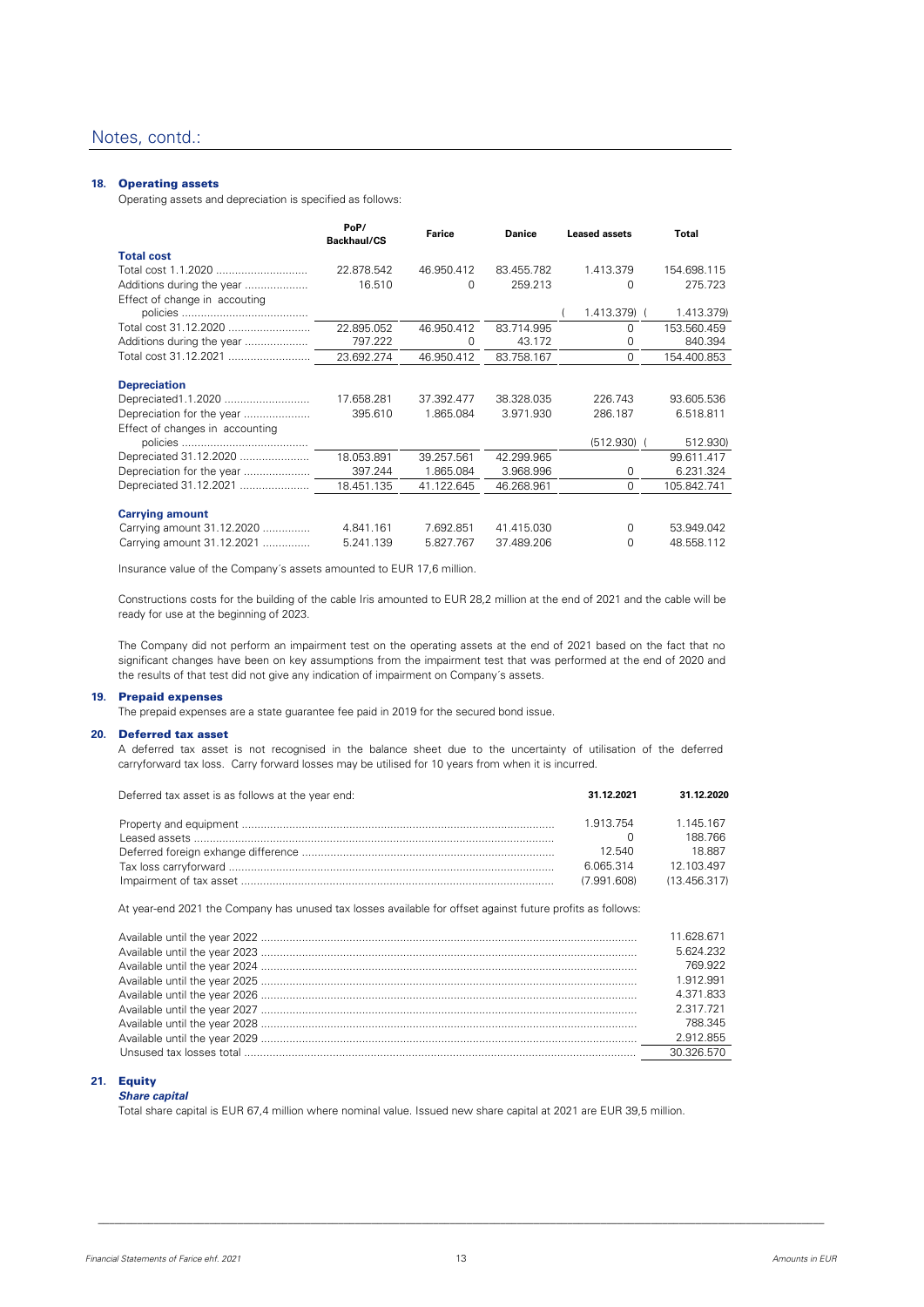# **18.** Operating assets

Operating assets and depreciation is specified as follows:

|                                 | PoP/<br>Backhaul/CS | <b>Farice</b> | Danice     | <b>Leased assets</b> | <b>Total</b> |
|---------------------------------|---------------------|---------------|------------|----------------------|--------------|
| <b>Total cost</b>               |                     |               |            |                      |              |
|                                 | 22.878.542          | 46.950.412    | 83.455.782 | 1.413.379            | 154.698.115  |
| Additions during the year       | 16.510              | 0             | 259.213    | 0                    | 275.723      |
| Effect of change in accouting   |                     |               |            |                      |              |
|                                 |                     |               |            | 1.413.379)           | 1.413.379)   |
| Total cost 31.12.2020           | 22.895.052          | 46.950.412    | 83.714.995 | $\Omega$             | 153.560.459  |
| Additions during the year       | 797.222             | 0             | 43.172     | 0                    | 840.394      |
| Total cost 31.12.2021           | 23.692.274          | 46.950.412    | 83.758.167 | $\Omega$             | 154.400.853  |
| <b>Depreciation</b>             |                     |               |            |                      |              |
| Depreciated1.1.2020             | 17.658.281          | 37.392.477    | 38.328.035 | 226.743              | 93.605.536   |
| Depreciation for the year       | 395.610             | 1.865.084     | 3.971.930  | 286.187              | 6.518.811    |
| Effect of changes in accounting |                     |               |            |                      |              |
|                                 |                     |               |            | (512.930)            | 512.930)     |
| Depreciated 31.12.2020          | 18.053.891          | 39.257.561    | 42.299.965 |                      | 99.611.417   |
| Depreciation for the year       | 397.244             | 1.865.084     | 3.968.996  | 0                    | 6.231.324    |
| Depreciated 31.12.2021          | 18.451.135          | 41.122.645    | 46.268.961 | $\mathbf 0$          | 105.842.741  |
| <b>Carrying amount</b>          |                     |               |            |                      |              |
| Carrying amount 31.12.2020      | 4.841.161           | 7.692.851     | 41.415.030 | $\Omega$             | 53.949.042   |
| Carrying amount 31.12.2021      | 5.241.139           | 5.827.767     | 37.489.206 | $\Omega$             | 48.558.112   |

Insurance value of the Company´s assets amounted to EUR 17,6 million.

Constructions costs for the building of the cable Iris amounted to EUR 28,2 million at the end of 2021 and the cable will be ready for use at the beginning of 2023.

The Company did not perform an impairment test on the operating assets at the end of 2021 based on the fact that no significant changes have been on key assumptions from the impairment test that was performed at the end of 2020 and the results of that test did not give any indication of impairment on Company´s assets.

#### **19.** Prepaid expenses

The prepaid expenses are a state guarantee fee paid in 2019 for the secured bond issue.

#### **20.** Deferred tax asset

A deferred tax asset is not recognised in the balance sheet due to the uncertainty of utilisation of the deferred carryforward tax loss. Carry forward losses may be utilised for 10 years from when it is incurred.

| Deferred tax asset is as follows at the year end: | 31.12.2021  | 31.12.2020   |
|---------------------------------------------------|-------------|--------------|
|                                                   | 1.913.754   | 1.145.167    |
|                                                   |             | 188 766      |
|                                                   | 12.540      | 18887        |
|                                                   | 6.065.314   | 12 103 497   |
|                                                   | (7.991.608) | (13.456.317) |

At year-end 2021 the Company has unused tax losses available for offset against future profits as follows:

| 11.628.671 |
|------------|
| 5.624.232  |
| 769 922    |
| 1.912.991  |
| 4.371.833  |
| 2 317 721  |
| 788 345    |
| 2.912.855  |
| 30.326.570 |

# **21.** Equity

#### **Share capital**

Total share capital is EUR 67,4 million where nominal value. Issued new share capital at 2021 are EUR 39,5 million.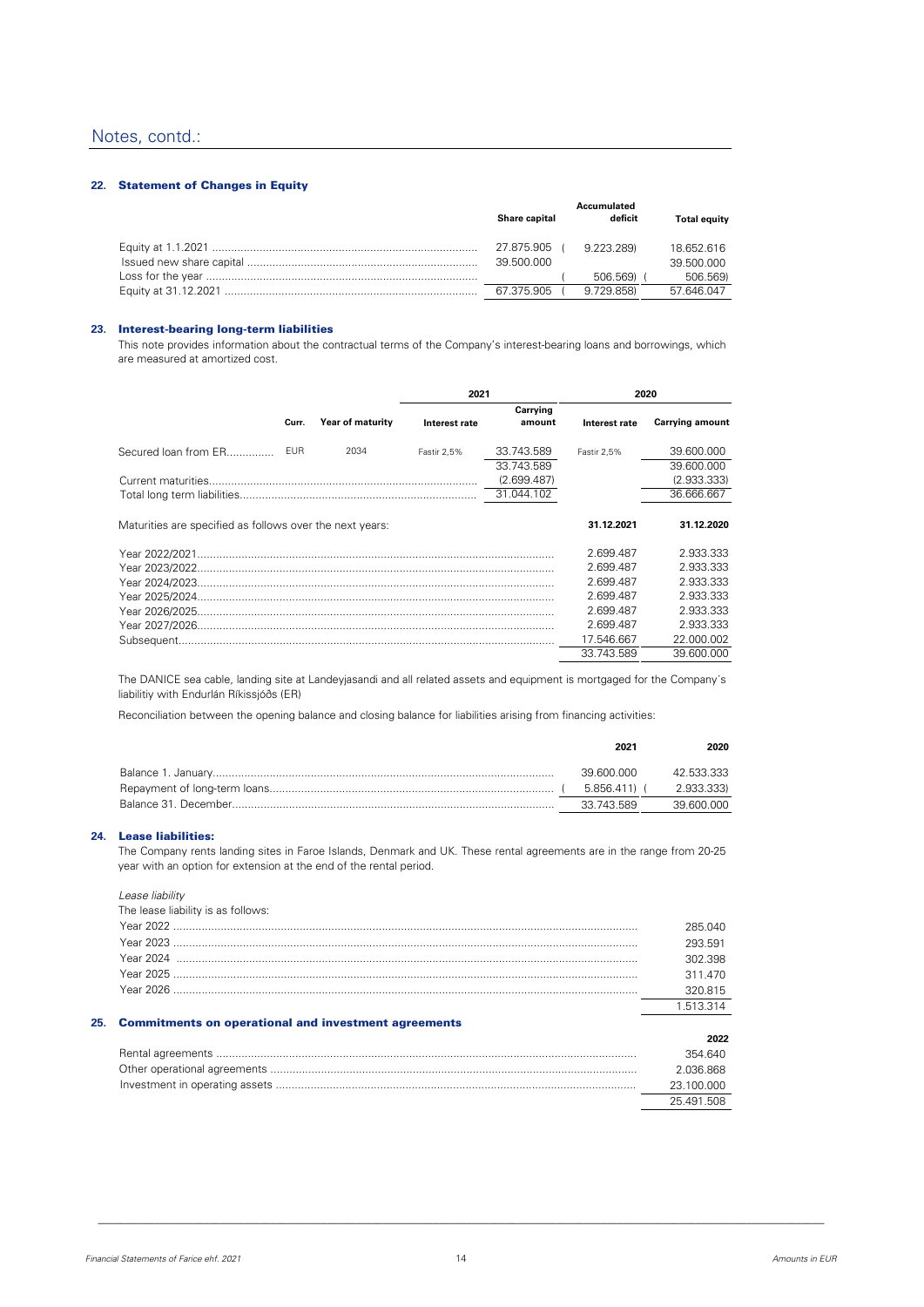# Notes, contd.:

# **22.** Statement of Changes in Equity

| Share capital            | deficit                  | <b>Total equity</b>      |
|--------------------------|--------------------------|--------------------------|
| 27.875.905<br>39.500.000 | 9.223.289)               | 18.652.616<br>39.500.000 |
| 67.375.905               | 506,569) (<br>9.729.858) | 506,569)<br>57.646.047   |
|                          |                          |                          |

# **23.** Interest-bearing long-term liabilities

This note provides information about the contractual terms of the Company's interest-bearing loans and borrowings, which are measured at amortized cost.

|                                                          |            |                  | 2021          |             |               | 2020            |
|----------------------------------------------------------|------------|------------------|---------------|-------------|---------------|-----------------|
|                                                          |            |                  |               | Carrying    |               |                 |
|                                                          | Curr.      | Year of maturity | Interest rate | amount      | Interest rate | Carrying amount |
| Secured loan from ER                                     | <b>EUR</b> | 2034             | Fastir 2.5%   | 33.743.589  | Fastir 2,5%   | 39.600.000      |
|                                                          |            |                  |               | 33.743.589  |               | 39.600.000      |
|                                                          |            |                  |               | (2.699.487) |               | (2.933.333)     |
|                                                          |            |                  |               | 31.044.102  |               | 36.666.667      |
| Maturities are specified as follows over the next years: |            |                  |               |             | 31.12.2021    | 31.12.2020      |
|                                                          |            |                  |               |             | 2.699.487     | 2.933.333       |
|                                                          |            |                  |               |             | 2.699.487     | 2.933.333       |
|                                                          |            |                  |               |             | 2.699.487     | 2.933.333       |
|                                                          |            |                  |               |             | 2.699.487     | 2.933.333       |
|                                                          |            |                  |               |             | 2.699.487     | 2.933.333       |
|                                                          |            |                  |               |             | 2.699.487     | 2.933.333       |
|                                                          |            |                  |               |             | 17.546.667    | 22.000.002      |
|                                                          |            |                  |               |             | 33.743.589    | 39.600.000      |

The DANICE sea cable, landing site at Landeyjasandi and all related assets and equipment is mortgaged for the Company´s liabilitiy with Endurlán Ríkissjóðs (ER)

Reconciliation between the opening balance and closing balance for liabilities arising from financing activities:

| 2021       | 2020                    |
|------------|-------------------------|
| 39 600 000 | 42 533 333              |
|            | 5.856.411) ( 2.933.333) |
| 33 743 589 | 39 600 000              |

#### **24.** Lease liabilities:

The Company rents landing sites in Faroe Islands, Denmark and UK. These rental agreements are in the range from 20-25 year with an option for extension at the end of the rental period.

Lease liability

| The lease liability is as follows: |           |
|------------------------------------|-----------|
|                                    | 285 N4N   |
|                                    | 293591    |
|                                    | 302.398   |
|                                    | 311 470   |
|                                    | 320815    |
|                                    | 1 513 314 |
|                                    |           |

### **25.** Commitments on operational and investment agreements

| ZUZZ       |
|------------|
| 354 640    |
| 2 036 868  |
| 23.100.000 |
| 25.491.508 |